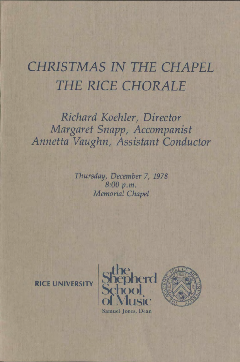# *CHRISTMAS IN THE CHAPEL THE RICE CHORALE*

*Richard Koehler, Director Margaret Snapp, Accompanist Annetta Vaughn, Assistant Conductor* 

> *Thursday, December* 7, *1978*  8:00 p.m. *Memorial Chapel*

**RICE UNIVERSITY** 



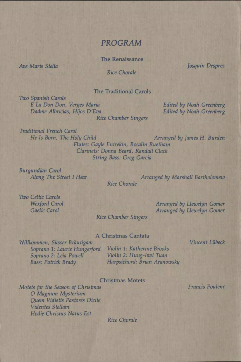# **PROGRAM**

The Renaissance

*Ave Maris Stella* 

*Rice Chorale* 

Josquin Desprez

### The Traditional Carols

*Two Spanish Carols E La Don Don, Verges Maria Dadme Albricias, Hijos D'Eva Rice Chamber Singers* 

*Edited by Noah Greenberg Edited by Noah Greenberg* 

*Traditional French Carol He Is Born, The Holy Child Arranged by James H. Burden Flutes: Gayle Entrekin, Rosalin Ruethain Clarinets: Donna Beard, Randall Clack String Bass: Greg Garcia* 

*Burgundian Carol Along The Street I Hear* 

*Rice Chorale Arranged by Marshall Bartholomew* 

*Two Celtic Carols Wexford Carol Gaelic Carol* 

*Arranged by Llewelyn Arranged by Llewelyn* 

*Rice Chamber Singers* 

#### A Christmas Cantata

*Willkommen, Susser Brautigam Soprano 1: Laurie Hungerford Violin 1: Katherine Brooks Soprano 2: Leia Powell Bass: Patrick Brady* 

*Violin 2: Hung-hwi Tuan Harpsichord: Brian Aranowsky* 

Christmas Motets

Vincent Lübeck

Francis Poulenc

*Motets for the Season of Christmas*  0 *Magnum Mysterium Quern Vidistis Pastores Didte Videntes Stellam Hodie Christus Natus Est* 

*Rice Chorale*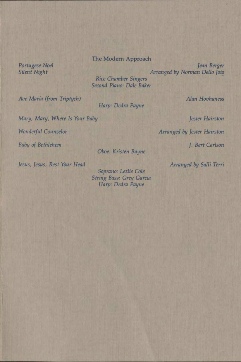## The Modem Approach

*Portugese Noel Silent Night* 

*Jean Berger Arranged by Nonnan Delio Joio* 

*Rice Chamber Singers* · *Second* Piano: *Dale Baker* 

*Harp: Dedra Payne* 

*Ave Maria (from Triptych)* 

*Alan Hovhaness* 

*Arranged by Jester Hairston* 

*Mary, Mary, Where Is Your Baby* 

*Wonderful Counselor* 

*Baby of Bethlehem J. Bert Carlson* 

*Oboe: Kristen Bayne* 

*Jesus, Jesus, Rest Your Head* 

*Soprano: Lezlie Cole String Bass: Greg Garcia Harp: Dedra Payne* 

*Jester Hairston* 

*Arranged by Salli Terri*